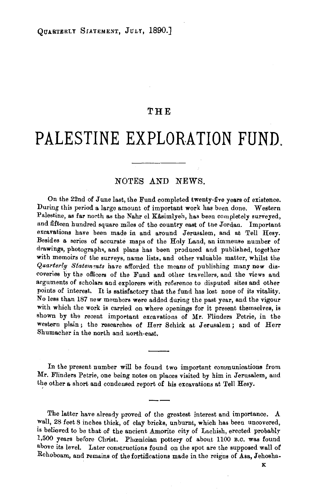## **THE**

## **PALESTINE EXPLOR.ATION FUND.**

## NOTES AND NEWS.

On the 22nd of June last, the Fund completed twenty-five years of existence. During this period a large amount of important work has been done. Western Palestine, as far north as the Nahr el Kasimiyeh, has been completely surveyed, and fifteen hundred square miles of the country east of the Jordan. Important excavations have been made in and around Jerusalem, and at Tell Hesy. Besides a series of accurate maps of the Holy Land, an immense number of drawings, photographs, and plans has been produced and published, together with memoirs of the surveys, name lists, and other valuable matter, whilst the *Quarterly Statements* have afforded the means of publishing many new discoveries by the officers of the Fund and other travellers, and the views and arguments of scholars and explorers with reference to disputed sites and other points of interest. It is satisfactory that the fund has lost none of its vitality. No less than 187 new members were added during the past year, and the vigour with which the work is carried on where openings for it present themselves, is shown by the recent important excavations of Mr. Flinders Petrie, in the western plain; the researches of Herr Schick at Jerusalem; and of Herr Shumacher in the north and uorth·east,

In the present number will be found two important communications from Mr. Flinders Petrie, one being notes on places visited by him in Jerusalem, and the other a short and condensed report of his excavations at Tell Hesy.

The latter have already proved of the greatest interest and importance. A wall, 28 feet 8 inches thick, of clay bricks, unburnt, which has been uncovered, is believed to be that of the ancient Amorite city of Lachish, erected probably 1,500 years before Christ. Phonician pottery of about 1100 B.C. was found above its level. Later constructions found on the spot are the supposed wall of Rehoboam, and remains of the fortifications made in the reigns of Asa, Jehosha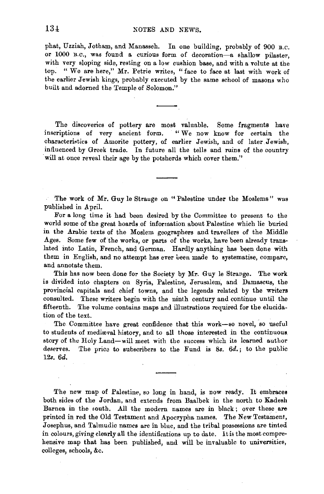phat, Uzziah, Jotham, and Manasseh. In one building, probably of 900 B.c. or 1000 B.C., was found a curious form of decoration-a shallow pilaster, with very sloping side, resting on a low cushion base, and with a volute at the top. "We are here," Mr. Petrie writes, "face to face at last with work of the earlier Jewish kings, probably executed by the same school of masons who built and adorned the Temple of Solomon."

The discoveries of pottery are most valuable. Some fragments have inscriptions of very ancient form. " We now know for certain the characteristics of Amorite pottery, of earlier Jewish, and of later Jewish, influenced by Greek trade. In future all the tells and ruins of the country will at once reveal their age by the potsherds which cover them."

The work of Mr. Guy le Strauge on "Palestine under the Moslems" was published in April.

For a long time it had been desired by the Committee to present to the world some of the great hoards of information about Palestine which lie buried in the Arabic texts of the Moslem geographers and travellers of the Middle Ages. Some few of the works, or parts of the works, have been already translated into Latin, French, and German. Hardly anything has been done with them in English, and no attempt has ever been made to systematise, compare, and annotate them.

This has now been done for the Society by Mr. Guy le Strange. The work is divided into chapters on Syria, Palestine, Jerusalem, and Damascus, the provincial capitals and chief towns, and the legends related by the writers consulted. These writers begin with the ninth century and continue until the fifteenth. The volume contains maps and illustrations required for the elucidation of the text.

The Committee have great confidence that this work-so novel, so useful to students of medieval history, and to all those interested in the continuous story of the Holy Land-will meet with the success which its learned author deserves. The price to subscribers to the Fund is *Ss. 6d.;* to the public 12s. *6d.* 

The new map of Palestine, so long in hand, is now ready. It embraces both sides of the Jordan, and extends from Baalbek in the north to Kadesh Barnea in the south. All the modern names are in black; over these are printed in red the Old Testament and Apocrypha names. The New Testament, Josephus, and Talmudic names are in blue, and the tribal possessions are tinted in colours, giving clearly all the identifications up to date. lt is the most comprehensive map that has been published, and will be invaluable to universities, colleges, schools, &c.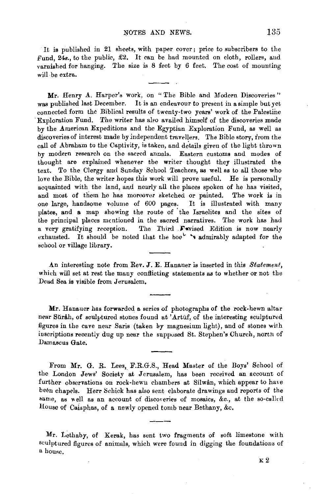It is published in 21 sheets, with paper cover; price to subscribers to the Fund,  $24s$ , to the public,  $£2$ . It can be had mounted on cloth, rollers, and varnished for hanging. The size is 8 feet by 6 feet. The cost of mounting will be extra.

Mr. Henry A. Harper's work, on "The Bible and Modern Discoveries" was published last December. It is an endeavour to present in a simple but yet connected form the Biblical results of twenty-two years' work of the Palestine ·Exploration Fund. The writer has alw availed himself of the discoveries made by the American Expeditions and the Egyptian Exploration Fund, as well as discoveries of interest made by independent travellers. The Bible story, from the call of Abraham to the Captivity, is taken, and details given of the light thrown by modern research on the sacred annals. Eastern customs and modes of thought are explained whenever the writer thought they illustrated the text. To the Clergy and Sunday School Teachers, as well as to all those who love the Bible, the writer hopes this work will prove useful. He is personally acquainted with the land, and nearly all the places spoken of he has visited, and most of them he has moreover sketched or painted. The work is in one large, handsome volume of 600 pages. It is illustrated with many plates, and a map showing the route of the Israelites and the sites of the principal places mentioned in the sacred narratives. The work has had a very gratifying reception. The Third Favised Edition is now nearly exhausted. It should be noted that the ho $o^{\star}$  's admirably adapted for the school or village library.

An interesting note from Rev. J. E. Hanauer is inserted in this *Statement,*  which will set at rest the many conflicting statements aa to whether or not the Dead Sea is visible from Jerusalem,

Mr. Hanauer has forwarded a series of photographs of the rock-hewn altar near Surah, of sculptured stones found at 'Artuf, of the interesting sculptured figures in the cave near Saris (taken by magnesium light), and of stones with inscriptions recently dug up near the suppused St. Stephen's Church, north of Damascus Gate.

From Mr. G. R. Lees, F.R.G.S., Head Master of the Boys' School of the London Jews' Society at Jerusalem, has been received an account of further observations on rock-hewn chambers at Silwân, which appear to have been chapels. Herr Schick has also sent elaborate drawings and reports of the same, as well as an account of discoveries of mosaics, &c., at the so-called House of Caiuphas, of a newly opened tomb near Bethany, &c.

Mr. Lethaby, of Kerak, has sent two fragments of soft limestone with sculptured figures of animals, which were fouud in digging the foundations of a house.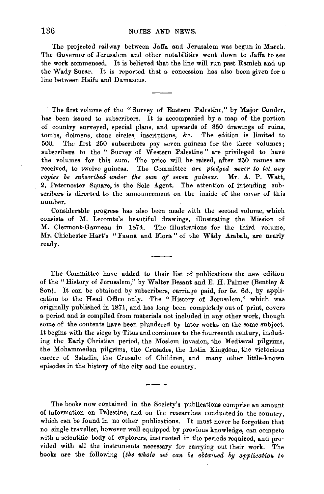The projected railway between Jaffa and Jerusalem was begun in March. The Governor of Jerusalem and other notabilities went down to Jaffa to see the work commenced. It is believed that the line will run past Ramleh and up the Wady Surar. It is roported that a concession has also been given for a line between Haifa and Damascus.

· The first volume of the " Survey of Eastern Palestine," by Major Conder, has been issued to subscribers. It is accompanied by a map of the portion of country surveyed, special plans, and upwards of 350 drawings of ruins, tombs, dolmens, stone circles, inscriptions, &c. The edition is limited to 500. The first 250 subscribers pay seven guineas for the three volumes; subscribers to the " Survey of Western Palestine" are privileged to have the volumes for this sum. The price will be raised, after 250 names are received, to twelve guineas. The Committee *are pledged never to let any aopies be subsaribed under the sum of seven guineas.* Mr. A. P. Watt, 2, Paternoster Square, is the Sole Agent. The attention of intending subscribers is directed to the announcement on the inside of the cover of this number.

Considerable progress has also been made with the second volume, which consists of M. Lecomte's beautiful drawings, illustrating the Mission of M. Clermont-Ganneau in 1874. The illustrations for the third volume, Mr. Chichester Hart's "Fauna and Flora " of the Wady Arabah, are nearly ready.

The Committee have added to their list of publications the new edition of the "History of Jerusalem," by Walter Besant and E. H. Palmer (Bentley & Son). It can be obtained by subscribers, carriage paid, for 5s. 6d., by application to the Head Office only. The "History of Jerusalem," which was originally published in 1871, and has long been completely out of print, covers a period and is compiled from materials not included in any other work, though some of the contents have been plundered by later works on the same subject. It begins with the siege by Titus and continues to the fourteenth century, including the Early Christian period, the Moslem invasion, the Medieval pilgrims, the Mohammedan pilgrims, the Crusades, the Latin Kingdom, the victorious career of Saladin, the Crusade of Children, and many other little-known episodes in the history of the city and the country.

The books now contained in the Society's publications comprise an amount of information on Palestine, and on the researches conducted in the country, which can be found in no other publications. It must never be forgotten that no single traveller, however well equipped by previous knowledge, can compete with a scientific body of explorers, instructed in the periods required, and provided with all the instruments necessary for carrying out their work. The books are the following *(the whole set can be obtained bg application tQ*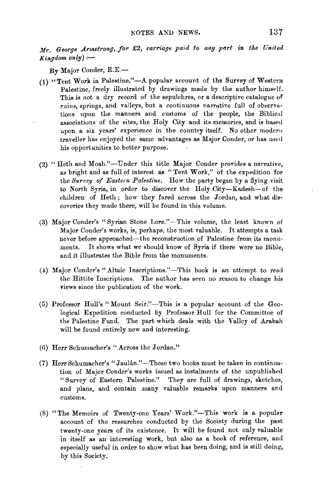*Mr. George Arnstrong, for £2, carriage paid to any part in the United*  $Kingdom\ only$ :--

By Major Conder, R.E.-

- (1) "Tent Work in Palestine."-A popular account of the Survey of Western Palestine, freely illustrated by drawings made by the author himself. This is not a dry record of the sepulchres, or a descriptive catalogue of ruins, springs, and valleys, but a continuous narrative full of observations upon the manners and customs of the people, the Biblical associations of the sites, the Holy City and its memories, and is based upon a six years' experience in the country itself. No other modern traveller has enjoyed the same advantages as Major Conder, or has used his opportunities to better purpose.
- (2) "Heth and Moab."-Under this title Major Conder provides a narrative, as bright and as full of interest as "Tent Work," of the expedition for the *Survey of Eastern Palestine.* How the party began by a flying visit to North Syria, in order to discover the Holy City-Kadesh-of the children· of Heth; how they fared across the Jordan, and what discoveries they made there, will be found in this volume.
- (3) Major Conder's "Syrian Stone Lore."-This volume, the least known of Major Conder's works, is, perhaps, the most valuable. It attempts a task never before approached-the reconstruction of Palestine from its monuments. It shows what we should know of Syria if there were no Bible, and it illustrates the Bible from the monuments.
- (4) Major Conder's "Altaic Inscriptions."-This book is an attempt to read the Hittite Inscriptions. The author has seen no reason to change his views since the publication of the work.
- (5) Professor Hull's "Mount Seir."-This is a popular account of the Geological Expedition conducted by Professor Hull for the Committee of the Palestine Fund. The part which deals with the Valley of Arabah will be found entirely new and interesting.
- (6) Herr Schumacher's "Across the Jordan."
- (7) Herr Schumacher's "Jaulân."-These two books must be taken in continuation of Major Conder's works issued as instalments of the unpublished "Survey of Eastern Palestine." They are full of drawings, sketches, and plans, and contain many valuable remarks upon manners and customs.
- (8) "The Memoirs of Twenty-one Years' Work."-This work is a popular account of the researches conducted by the Society during the past twenty-one years of its existence. It will be found not only valuable in itself as an interesting work, but also as a book of reference, and especially useful in order to show what has been doing, and is still doing, by this Society.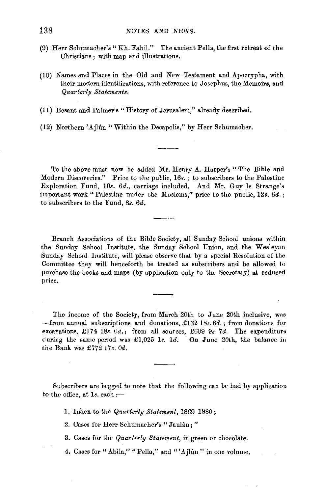- (9) Herr Schumacher's "Kh. Fahil." The ancient Pella, the first retreat of the Christians ; with map and illustrations.
- (10) Names and Places in the Old and New Testament and Apocrypha, with their modern identifications, with reference to Josephus, the Memoirs, and *Quarterly Statemerrts.*
- (ll) Besant and Palmer's "History of Jerusalem," already described.
- (12) Northern 'Ajlûn "Within the Decapolis," by Herr Schumacher.

To the above must now be added Mr. Henry A. Harper's " The Bible and Modern Discoveries." Price to the public, 16s.; to subscribers to the Palestine Exploration Fund, 10s. *6d.,* carriage included. And Mr. Guy le Strange's important work "Palestine under the Moslems," price to the public, 12s.  $6d.$ ; to subscribers to the Fund, 8s. 6d.

Branch Associations of the Bible Society, all Sunday School unions within the Sunday School Institute, the Sunday School Union, and the Wesleyan Sunday School Institute, will please observe that by a special Resolution of tbe Committee they will henceforth be treated as subscribers and be allowed to purchase the books and maps (by application only to the Secretary) at reduced price.

The income of the Society, from March 20th to June 20th inclusive, was -from annual subscriptions and donations, £132 18s. *6d.;* from donations for excavations, £174 l8s. *Od.;* from all sources, £609 9s *7d.* The expenditure during the same period was £1,025 1s. 1d. On June 20th, the balance in the Bank was £772 17s. *Od.* 

Subscribers are begged to note that the following can be had by application to the office, at 1s. each:-

1. Index to the *Quarterly Statement,* 1869-1880;

2. Cases for Herr Schumacher's "Jaulan;"

3. Oases for the *Quarterly Statement,* in green or chocolate.

4. Cases for "Abila," "Pella," and "'Ajlûn" in one volume.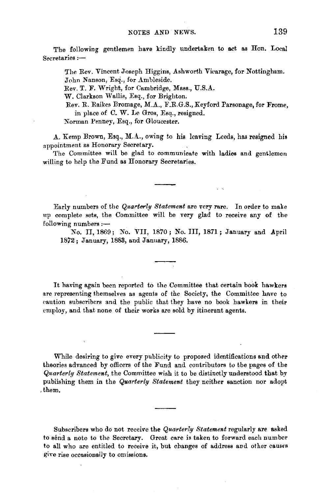The following gentlemen have kindly undertaken to act as Hon. Local  $S**ecretaries** :=$ 

The Rev. Vincent Joseph Higgins, Ashworth Viearage, for Nottingham. John Nanson, Esq., for Ambleside.

Rev. T. F. Wright, for Cambridge, Mass., U.S.A.

W. Clarkson Wallis, Esq., for Brighton.

Rev. R. Raikes Bromage, M.A., F.R.G.S., Keyford Parsonage, for Frome, in place of C. W. Le Gros, Esq., resigned.

Norman Penney, Esq., for Gloucester.

A. Kemp Brown, Esq., M.A., owing to his leaving Leeds, has resigned his appointment as Honorary Secretary.

The Committee will be glad to communicate with ladies and gentlemen willing to help the Fund as Honorary Secretaries.

Early numbers of the *Quarte-rly Statement* are very rare. In order to make up complete sets, the Committee will be very glad to receive any of the  $following numbers: -$ 

No. II, 1869; No. VII, 1870; No. III, 1871; January and April 1872; January, 1883, and January, 1886.

It having again been reported to the Committee that certain book hawkers are representing themselves as agents of the Society, the Committee have to caution subscribers and the public that they have no book hawkers in their employ, and that none of their works are sold by itinerant agents.

While desiring to give every publicity to proposed identifications and other theories advanced by officers of the Fund and contributors to the pages of the *Quarterly Statement,* the Committee wish it to be distinctly understood that by publishing them in the *Quarterly Statement* they neither sanction nor adopt ,them.

Subscribers who do not receive the *Quarterly Statement* regularly are asked to send a note to the Secretary. Great care is taken to forward each number to all who are entitled to receive it, but changes of address and other causes give rise occasionally to omissions.